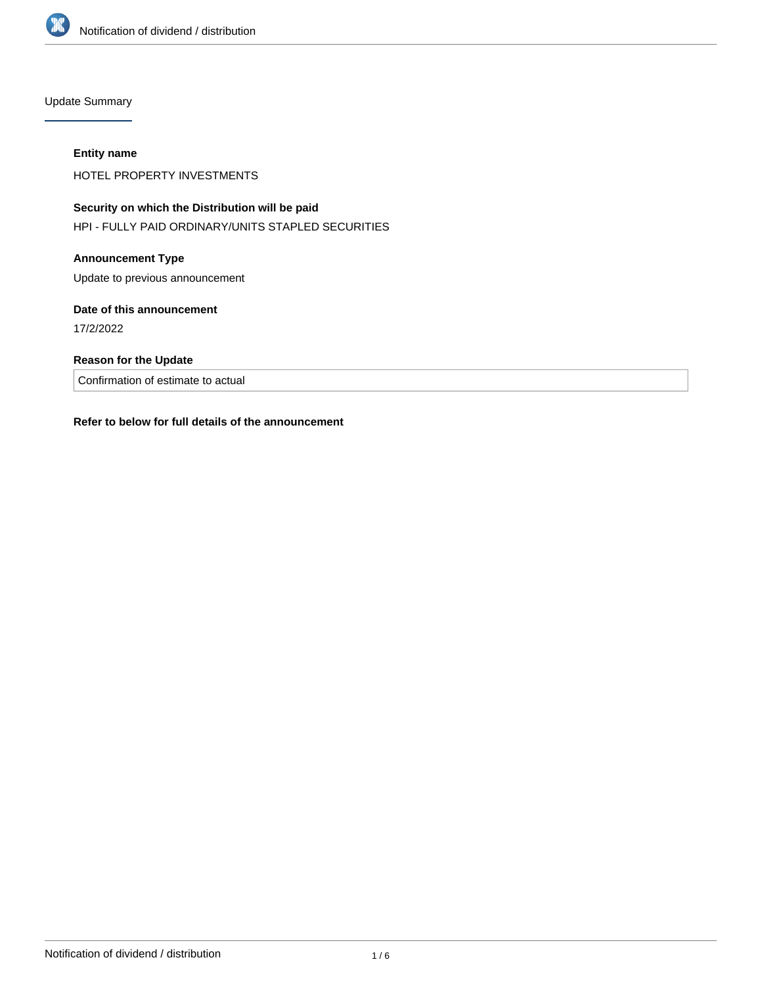

Update Summary

#### **Entity name**

HOTEL PROPERTY INVESTMENTS

# **Security on which the Distribution will be paid**

HPI - FULLY PAID ORDINARY/UNITS STAPLED SECURITIES

## **Announcement Type**

Update to previous announcement

## **Date of this announcement**

17/2/2022

# **Reason for the Update**

Confirmation of estimate to actual

## **Refer to below for full details of the announcement**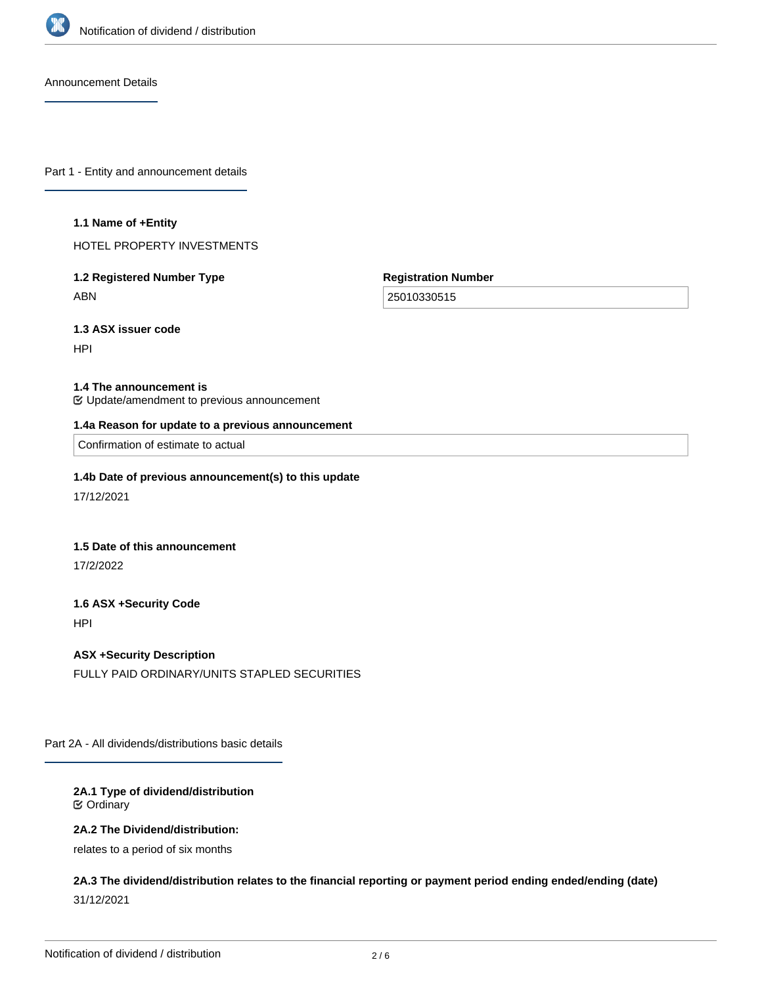

Announcement Details

Part 1 - Entity and announcement details

#### **1.1 Name of +Entity**

HOTEL PROPERTY INVESTMENTS

# **1.2 Registered Number Type** ABN

**Registration Number**

25010330515

**1.3 ASX issuer code**

HPI

#### **1.4 The announcement is**

Update/amendment to previous announcement

#### **1.4a Reason for update to a previous announcement**

Confirmation of estimate to actual

#### **1.4b Date of previous announcement(s) to this update**

17/12/2021

#### **1.5 Date of this announcement**

17/2/2022

# **1.6 ASX +Security Code**

HPI

# **ASX +Security Description**

FULLY PAID ORDINARY/UNITS STAPLED SECURITIES

Part 2A - All dividends/distributions basic details

## **2A.1 Type of dividend/distribution** Ordinary

#### **2A.2 The Dividend/distribution:**

relates to a period of six months

**2A.3 The dividend/distribution relates to the financial reporting or payment period ending ended/ending (date)** 31/12/2021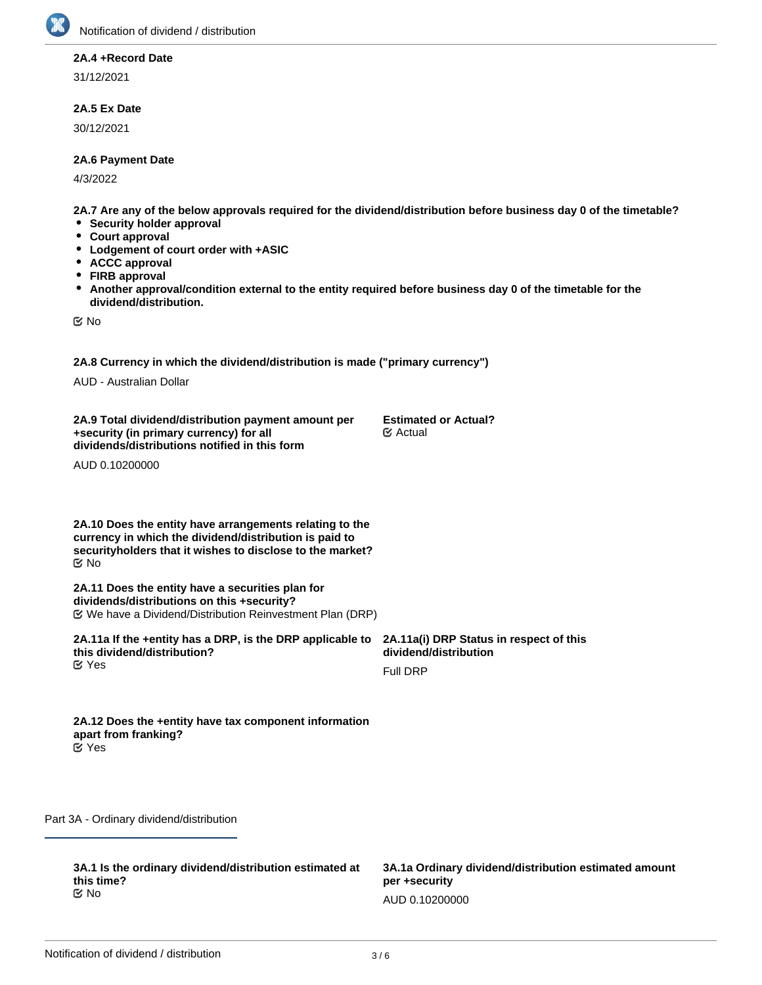

#### **2A.4 +Record Date**

31/12/2021

## **2A.5 Ex Date**

30/12/2021

#### **2A.6 Payment Date**

4/3/2022

**2A.7 Are any of the below approvals required for the dividend/distribution before business day 0 of the timetable?**

- **•** Security holder approval
- **Court approval**
- **Lodgement of court order with +ASIC**
- **ACCC approval**
- **FIRB approval**
- $\bullet$ **Another approval/condition external to the entity required before business day 0 of the timetable for the dividend/distribution.**

No

**2A.8 Currency in which the dividend/distribution is made ("primary currency")**

AUD - Australian Dollar

**2A.9 Total dividend/distribution payment amount per +security (in primary currency) for all dividends/distributions notified in this form**

**Estimated or Actual?** Actual

AUD 0.10200000

**2A.10 Does the entity have arrangements relating to the currency in which the dividend/distribution is paid to securityholders that it wishes to disclose to the market?** No

**2A.11 Does the entity have a securities plan for dividends/distributions on this +security?** We have a Dividend/Distribution Reinvestment Plan (DRP)

**2A.11a If the +entity has a DRP, is the DRP applicable to this dividend/distribution? K** Yes

**2A.11a(i) DRP Status in respect of this dividend/distribution**

Full DRP

**2A.12 Does the +entity have tax component information apart from franking?** Yes

Part 3A - Ordinary dividend/distribution

**3A.1 Is the ordinary dividend/distribution estimated at this time?** No

**3A.1a(i) Date that actual ordinary amount will be Estimated or Actual?**

**3A.1a Ordinary dividend/distribution estimated amount per +security** AUD 0.10200000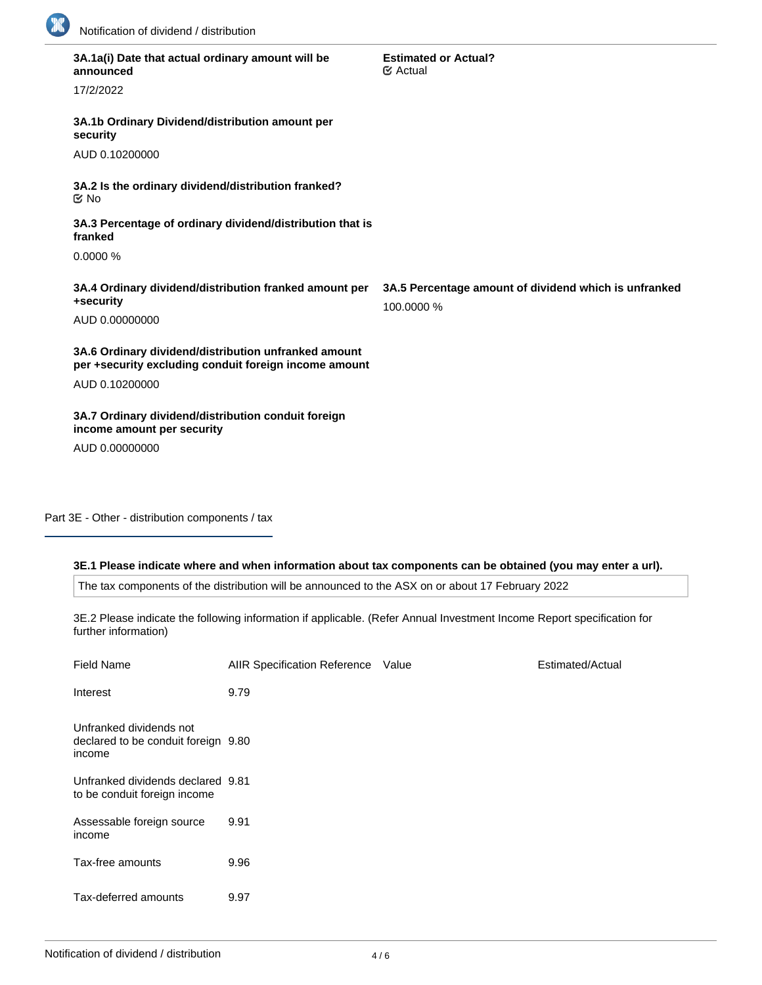

| 3A.1a(i) Date that actual ordinary amount will be<br>announced                                                | <b>Estimated or Actual?</b><br>$\mathfrak{S}$ Actual                |
|---------------------------------------------------------------------------------------------------------------|---------------------------------------------------------------------|
| 17/2/2022                                                                                                     |                                                                     |
| 3A.1b Ordinary Dividend/distribution amount per<br>security                                                   |                                                                     |
| AUD 0.10200000                                                                                                |                                                                     |
| 3A.2 Is the ordinary dividend/distribution franked?<br>$\mathfrak{C}$ No                                      |                                                                     |
| 3A.3 Percentage of ordinary dividend/distribution that is<br>franked                                          |                                                                     |
| 0.0000%                                                                                                       |                                                                     |
|                                                                                                               |                                                                     |
| 3A.4 Ordinary dividend/distribution franked amount per<br>+security                                           | 3A.5 Percentage amount of dividend which is unfranked<br>100.0000 % |
| AUD 0.00000000                                                                                                |                                                                     |
| 3A.6 Ordinary dividend/distribution unfranked amount<br>per +security excluding conduit foreign income amount |                                                                     |
| AUD 0.10200000                                                                                                |                                                                     |
| 3A.7 Ordinary dividend/distribution conduit foreign<br>income amount per security                             |                                                                     |
| AUD 0.00000000                                                                                                |                                                                     |

Part 3E - Other - distribution components / tax

## **3E.1 Please indicate where and when information about tax components can be obtained (you may enter a url).**

The tax components of the distribution will be announced to the ASX on or about 17 February 2022

3E.2 Please indicate the following information if applicable. (Refer Annual Investment Income Report specification for further information)

| <b>Field Name</b>                                                        | AIIR Specification Reference Value | Estimated/Actual |
|--------------------------------------------------------------------------|------------------------------------|------------------|
| Interest                                                                 | 9.79                               |                  |
| Unfranked dividends not<br>declared to be conduit foreign 9.80<br>income |                                    |                  |
| Unfranked dividends declared 9.81<br>to be conduit foreign income        |                                    |                  |
| Assessable foreign source<br>income                                      | 9.91                               |                  |
| Tax-free amounts                                                         | 9.96                               |                  |
| Tax-deferred amounts                                                     | 9.97                               |                  |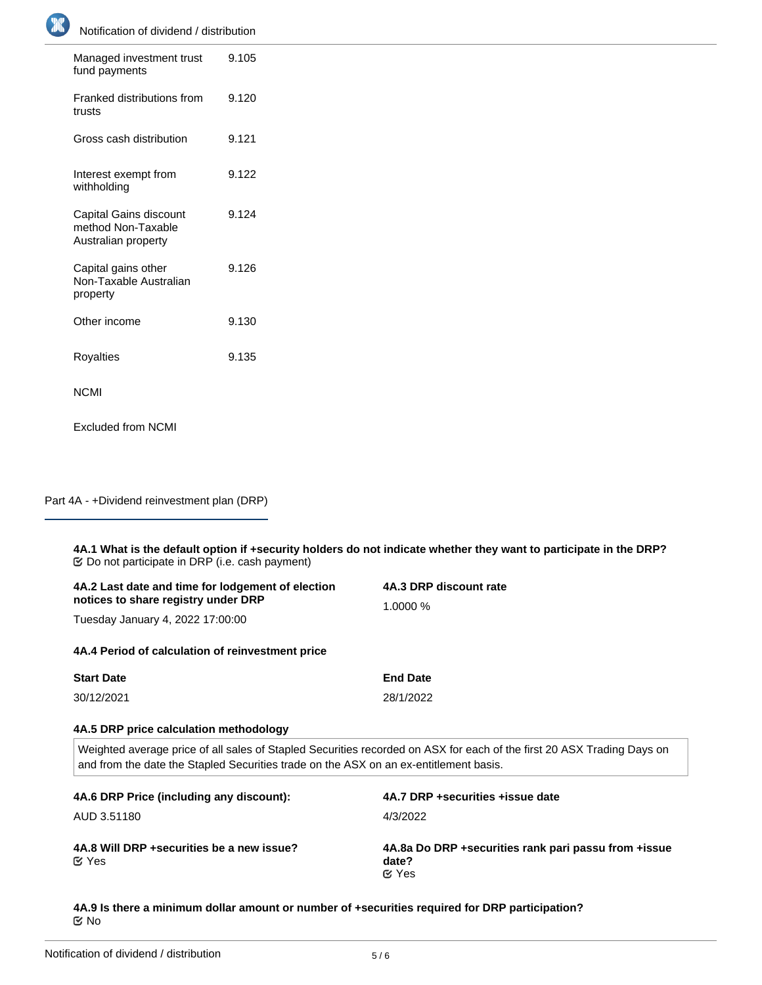Notification of dividend / distribution

| Managed investment trust<br>fund payments                           | 9.105 |
|---------------------------------------------------------------------|-------|
| Franked distributions from<br>trusts                                | 9.120 |
| Gross cash distribution                                             | 9.121 |
| Interest exempt from<br>withholding                                 | 9.122 |
| Capital Gains discount<br>method Non-Taxable<br>Australian property | 9.124 |
| Capital gains other<br>Non-Taxable Australian<br>property           | 9.126 |
| Other income                                                        | 9.130 |
| Royalties                                                           | 9.135 |
| NCMI                                                                |       |

Excluded from NCMI

Part 4A - +Dividend reinvestment plan (DRP)

**4A.1 What is the default option if +security holders do not indicate whether they want to participate in the DRP? 4A.2 Last date and time for lodgement of election notices to share registry under DRP 4A.3 DRP discount rate** 1.0000 % Do not participate in DRP (i.e. cash payment)

Tuesday January 4, 2022 17:00:00

**4A.4 Period of calculation of reinvestment price**

| <b>Start Date</b> | <b>End Date</b> |
|-------------------|-----------------|
| 30/12/2021        | 28/1/2022       |

#### **4A.5 DRP price calculation methodology**

Weighted average price of all sales of Stapled Securities recorded on ASX for each of the first 20 ASX Trading Days on and from the date the Stapled Securities trade on the ASX on an ex-entitlement basis.

| 4A.6 DRP Price (including any discount):                   | 4A.7 DRP + securities + issue date                                              |
|------------------------------------------------------------|---------------------------------------------------------------------------------|
| AUD 3.51180                                                | 4/3/2022                                                                        |
| 4A.8 Will DRP + securities be a new issue?<br><b>⊘</b> Yes | 4A.8a Do DRP + securities rank pari passu from + issue<br>date?<br>$\alpha$ Yes |

**4A.9 Is there a minimum dollar amount or number of +securities required for DRP participation?** No